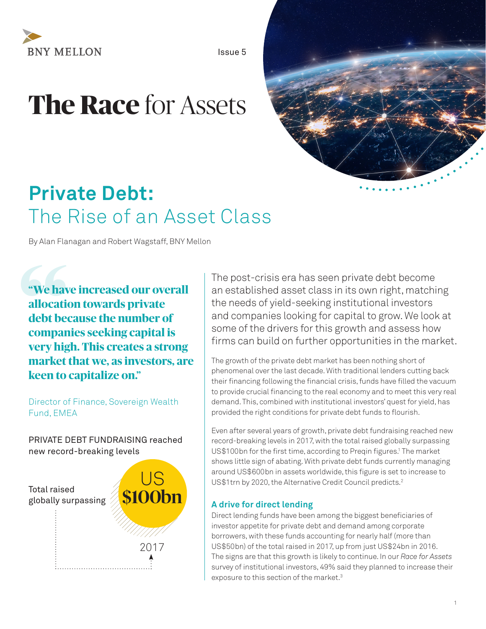

Issue 5

# **The Race** for Assets



## **Private Debt:**  The Rise of an Asset Class

By Alan Flanagan and Robert Wagstaff, BNY Mellon

**Example 12**<br> **Example 12**<br> **Example 12**<br> **Example 12**<br> **Example 12**<br> **Example 12 "We have increased our overall allocation towards private debt because the number of companies seeking capital is very high. This creates a strong market that we, as investors, are keen to capitalize on."** 

Director of Finance, Sovereign Wealth Fund, EMEA

#### PRIVATE DEBT FUNDRAISING reached new record-breaking levels



The post-crisis era has seen private debt become an established asset class in its own right, matching the needs of yield-seeking institutional investors and companies looking for capital to grow. We look at some of the drivers for this growth and assess how firms can build on further opportunities in the market.

The growth of the private debt market has been nothing short of phenomenal over the last decade. With traditional lenders cutting back their financing following the financial crisis, funds have filled the vacuum to provide crucial financing to the real economy and to meet this very real demand. This, combined with institutional investors' quest for yield, has provided the right conditions for private debt funds to flourish.

Even after several years of growth, private debt fundraising reached new record-breaking levels in 2017, with the total raised globally surpassing US\$100 bn for the first time, according to Preqin figures.<sup>1</sup> The market shows little sign of abating. With private debt funds currently managing around US\$600bn in assets worldwide, this figure is set to increase to US\$1trn by 2020, the Alternative Credit Council predicts.<sup>2</sup>

#### **A drive for direct lending**

Direct lending funds have been among the biggest beneficiaries of investor appetite for private debt and demand among corporate borrowers, with these funds accounting for nearly half (more than US\$50bn) of the total raised in 2017, up from just US\$24bn in 2016. The signs are that this growth is likely to continue. In our *Race for Assets* survey of institutional investors, 49% said they planned to increase their exposure to this section of the market.<sup>3</sup>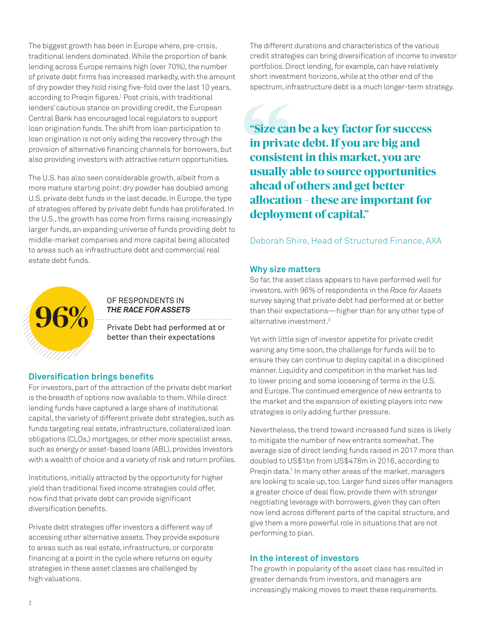The biggest growth has been in Europe where, pre-crisis, traditional lenders dominated. While the proportion of bank lending across Europe remains high (over 70%), the number of private debt firms has increased markedly, with the amount of dry powder they hold rising five-fold over the last 10 years, according to Preqin figures.<sup>1</sup> Post crisis, with traditional lenders' cautious stance on providing credit, the European Central Bank has encouraged local regulators to support loan origination funds. The shift from loan participation to loan origination is not only aiding the recovery through the provision of alternative financing channels for borrowers, but also providing investors with attractive return opportunities.

The U.S. has also seen considerable growth, albeit from a more mature starting point: dry powder has doubled among U.S. private debt funds in the last decade. In Europe, the type of strategies offered by private debt funds has proliferated. In the U.S., the growth has come from firms raising increasingly larger funds, an expanding universe of funds providing debt to middle-market companies and more capital being allocated to areas such as infrastructure debt and commercial real estate debt funds.



### Private Debt had performed at or OF RESPONDENTS IN *THE RACE FOR ASSETS*

better than their expectations

#### **Diversification brings benefits**

For investors, part of the attraction of the private debt market is the breadth of options now available to them. While direct lending funds have captured a large share of institutional capital, the variety of different private debt strategies, such as funds targeting real estate, infrastructure, collateralized loan obligations (CLOs,) mortgages, or other more specialist areas, such as energy or asset-based loans (ABL), provides investors with a wealth of choice and a variety of risk and return profiles.

Institutions, initially attracted by the opportunity for higher yield than traditional fixed income strategies could offer, now find that private debt can provide significant diversification benefits.

Private debt strategies offer investors a different way of accessing other alternative assets. They provide exposure to areas such as real estate, infrastructure, or corporate financing at a point in the cycle where returns on equity strategies in these asset classes are challenged by high valuations.

The different durations and characteristics of the various credit strategies can bring diversification of income to investor portfolios. Direct lending, for example, can have relatively short investment horizons, while at the other end of the spectrum, infrastructure debt is a much longer-term strategy.

**"Size calls in prival consiste usually a head of allocation "Size can be a key factor for success in private debt. If you are big and consistent in this market, you are usually able to source opportunities ahead of others and get better allocation – these are important for deployment of capital."** 

#### Deborah Shire, Head of Structured Finance, AXA

#### **Why size matters**

So far, the asset class appears to have performed well for investors, with 96% of respondents in the *Race for Assets* survey saying that private debt had performed at or better than their expectations—higher than for any other type of alternative investment.3

Yet with little sign of investor appetite for private credit waning any time soon, the challenge for funds will be to ensure they can continue to deploy capital in a disciplined manner. Liquidity and competition in the market has led to lower pricing and some loosening of terms in the U.S. and Europe. The continued emergence of new entrants to the market and the expansion of existing players into new strategies is only adding further pressure.

Nevertheless, the trend toward increased fund sizes is likely to mitigate the number of new entrants somewhat. The average size of direct lending funds raised in 2017 more than doubled to US\$1bn from US\$478m in 2016, according to Preqin data.<sup>1</sup> In many other areas of the market, managers are looking to scale up, too. Larger fund sizes offer managers a greater choice of deal flow, provide them with stronger negotiating leverage with borrowers, given they can often now lend across different parts of the capital structure, and give them a more powerful role in situations that are not performing to plan.

#### **In the interest of investors**

The growth in popularity of the asset class has resulted in greater demands from investors, and managers are increasingly making moves to meet these requirements.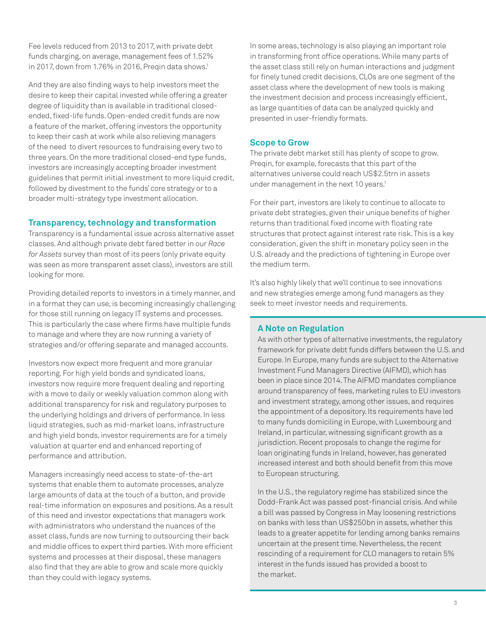Fee levels reduced from 2013 to 2017, with private debt funds charging, on average, management fees of 1.52% in 2017, down from 1.76% in 2016, Pregin data shows.<sup>1</sup>

And they are also finding ways to help investors meet the desire to keep their capital invested while offering a greater degree of liquidity than is available in traditional closedended, fixed-life funds. Open-ended credit funds are now a feature of the market, offering investors the opportunity to keep their cash at work while also relieving managers of the need to divert resources to fundraising every two to three years. On the more traditional closed-end type funds, investors are increasingly accepting broader investment guidelines that permit initial investment to more liquid credit, followed by divestment to the funds' core strategy or to a broader multi-strategy type investment allocation.

#### **Transparency, technology and transformation**

Transparency is a fundamental issue across alternative asset classes. And although private debt fared better in our *Race for Assets* survey than most of its peers (only private equity was seen as more transparent asset class), investors are still looking for more.

Providing detailed reports to investors in a timely manner, and in a format they can use, is becoming increasingly challenging for those still running on legacy IT systems and processes. This is particularly the case where firms have multiple funds to manage and where they are now running a variety of strategies and/or offering separate and managed accounts.

Investors now expect more frequent and more granular reporting. For high yield bonds and syndicated loans, investors now require more frequent dealing and reporting with a move to daily or weekly valuation common along with additional transparency for risk and regulatory purposes to the underlying holdings and drivers of performance. In less liquid strategies, such as mid-market loans, infrastructure and high yield bonds, investor requirements are for a timely valuation at quarter end and enhanced reporting of performance and attribution.

Managers increasingly need access to state-of-the-art systems that enable them to automate processes, analyze large amounts of data at the touch of a button, and provide real-time information on exposures and positions. As a result of this need and investor expectations that managers work with administrators who understand the nuances of the asset class, funds are now turning to outsourcing their back and middle offices to expert third parties. With more efficient systems and processes at their disposal, these managers also find that they are able to grow and scale more quickly than they could with legacy systems.

In some areas, technology is also playing an important role in transforming front office operations. While many parts of the asset class still rely on human interactions and judgment for finely tuned credit decisions, CLOs are one segment of the asset class where the development of new tools is making the investment decision and process increasingly efficient, as large quantities of data can be analyzed quickly and presented in user-friendly formats.

#### **Scope to Grow**

The private debt market still has plenty of scope to grow. Preqin, for example, forecasts that this part of the alternatives universe could reach US\$2.5trn in assets under management in the next 10 years.<sup>1</sup>

For their part, investors are likely to continue to allocate to private debt strategies, given their unique benefits of higher returns than traditional fixed income with floating rate structures that protect against interest rate risk. This is a key consideration, given the shift in monetary policy seen in the U.S. already and the predictions of tightening in Europe over the medium term.

It's also highly likely that we'll continue to see innovations and new strategies emerge among fund managers as they seek to meet investor needs and requirements.

#### **A Note on Regulation**

As with other types of alternative investments, the regulatory framework for private debt funds differs between the U.S. and Europe. In Europe, many funds are subject to the Alternative Investment Fund Managers Directive (AIFMD), which has been in place since 2014. The AIFMD mandates compliance around transparency of fees, marketing rules to EU investors and investment strategy, among other issues, and requires the appointment of a depository. Its requirements have led to many funds domiciling in Europe, with Luxembourg and Ireland, in particular, witnessing significant growth as a jurisdiction. Recent proposals to change the regime for loan originating funds in Ireland, however, has generated increased interest and both should benefit from this move to European structuring.

In the U.S., the regulatory regime has stabilized since the Dodd-Frank Act was passed post-financial crisis. And while a bill was passed by Congress in May loosening restrictions on banks with less than US\$250bn in assets, whether this leads to a greater appetite for lending among banks remains uncertain at the present time. Nevertheless, the recent rescinding of a requirement for CLO managers to retain 5% interest in the funds issued has provided a boost to the market.